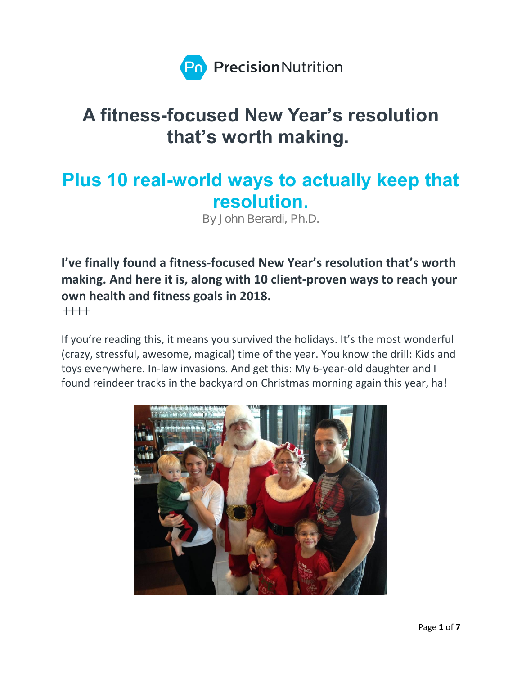

# A fitness-focused New Year's resolution that's worth making.

# Plus 10 real-world ways to actually keep that resolution.

By John Berardi, Ph.D.

**I've finally found a fitness-focused New Year's resolution that's worth making. And here it is, along with 10 client-proven ways to reach your own health and fitness goals in 2018.**

 $+ + + +$ 

If you're reading this, it means you survived the holidays. It's the most wonderful (crazy, stressful, awesome, magical) time of the year. You know the drill: Kids and toys everywhere. In-law invasions. And get this: My 6-year-old daughter and I found reindeer tracks in the backyard on Christmas morning again this year, ha!

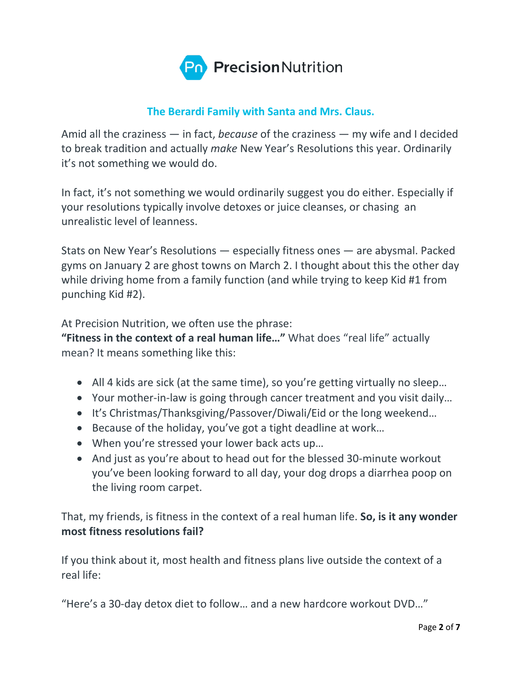

# **The Berardi Family with Santa and Mrs. Claus.**

Amid all the craziness — in fact, *because* of the craziness — my wife and I decided to break tradition and actually *make* New Year's Resolutions this year. Ordinarily it's not something we would do.

In fact, it's not something we would ordinarily suggest you do either. Especially if your resolutions typically involve detoxes or juice cleanses, or chasing an unrealistic level of leanness.

Stats on New Year's Resolutions — especially fitness ones — are abysmal. Packed gyms on January 2 are ghost towns on March 2. I thought about this the other day while driving home from a family function (and while trying to keep Kid #1 from punching Kid #2).

At Precision Nutrition, we often use the phrase:

**"Fitness in the context of a real human life…"** What does "real life" actually mean? It means something like this:

- All 4 kids are sick (at the same time), so you're getting virtually no sleep...
- Your mother-in-law is going through cancer treatment and you visit daily…
- It's Christmas/Thanksgiving/Passover/Diwali/Eid or the long weekend…
- Because of the holiday, you've got a tight deadline at work…
- When you're stressed your lower back acts up…
- And just as you're about to head out for the blessed 30-minute workout you've been looking forward to all day, your dog drops a diarrhea poop on the living room carpet.

That, my friends, is fitness in the context of a real human life. **So, is it any wonder most fitness resolutions fail?**

If you think about it, most health and fitness plans live outside the context of a real life:

"Here's a 30-day detox diet to follow… and a new hardcore workout DVD…"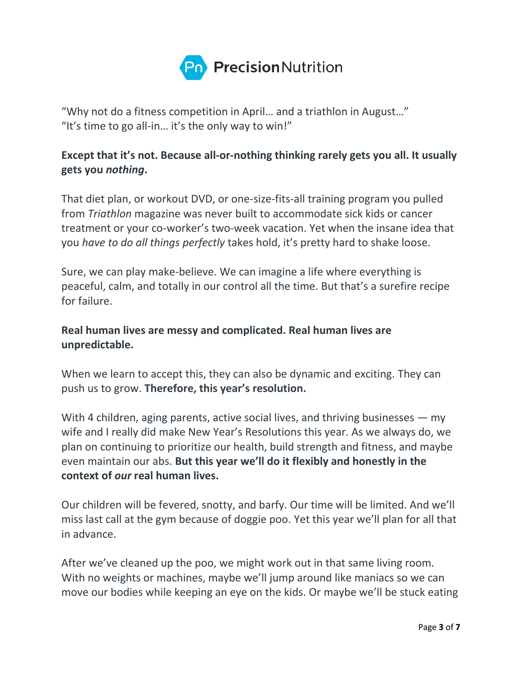

"Why not do a fitness competition in April… and a triathlon in August…" "It's time to go all-in... it's the only way to win!"

# **Except that it's not. Because all-or-nothing thinking rarely gets you all. It usually gets you** *nothing***.**

That diet plan, or workout DVD, or one-size-fits-all training program you pulled from *Triathlon* magazine was never built to accommodate sick kids or cancer treatment or your co-worker's two-week vacation. Yet when the insane idea that you *have to do all things perfectly* takes hold, it's pretty hard to shake loose.

Sure, we can play make-believe. We can imagine a life where everything is peaceful, calm, and totally in our control all the time. But that's a surefire recipe for failure.

# **Real human lives are messy and complicated. Real human lives are unpredictable.**

When we learn to accept this, they can also be dynamic and exciting. They can push us to grow. **Therefore, this year's resolution.**

With 4 children, aging parents, active social lives, and thriving businesses — my wife and I really did make New Year's Resolutions this year. As we always do, we plan on continuing to prioritize our health, build strength and fitness, and maybe even maintain our abs. **But this year we'll do it flexibly and honestly in the context of** *our* **real human lives.**

Our children will be fevered, snotty, and barfy. Our time will be limited. And we'll miss last call at the gym because of doggie poo. Yet this year we'll plan for all that in advance.

After we've cleaned up the poo, we might work out in that same living room. With no weights or machines, maybe we'll jump around like maniacs so we can move our bodies while keeping an eye on the kids. Or maybe we'll be stuck eating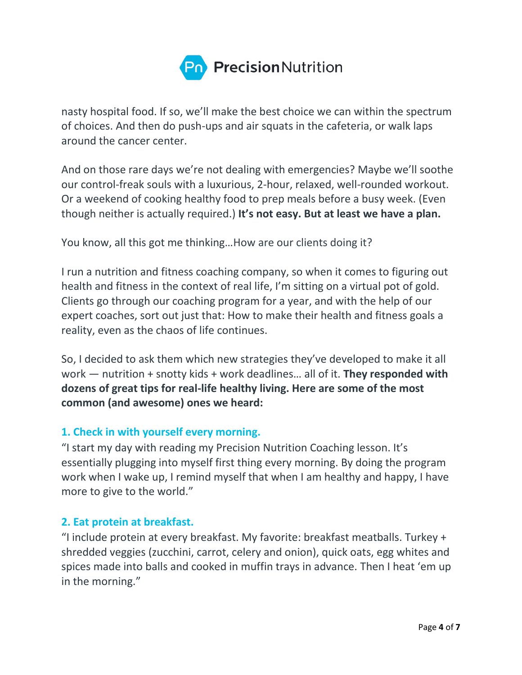

nasty hospital food. If so, we'll make the best choice we can within the spectrum of choices. And then do push-ups and air squats in the cafeteria, or walk laps around the cancer center.

And on those rare days we're not dealing with emergencies? Maybe we'll soothe our control-freak souls with a luxurious, 2-hour, relaxed, well-rounded workout. Or a weekend of cooking healthy food to prep meals before a busy week. (Even though neither is actually required.) **It's not easy. But at least we have a plan.**

You know, all this got me thinking…How are our clients doing it?

I run a nutrition and fitness coaching company, so when it comes to figuring out health and fitness in the context of real life, I'm sitting on a virtual pot of gold. Clients go through our coaching program for a year, and with the help of our expert coaches, sort out just that: How to make their health and fitness goals a reality, even as the chaos of life continues.

So, I decided to ask them which new strategies they've developed to make it all work — nutrition + snotty kids + work deadlines… all of it. **They responded with dozens of great tips for real-life healthy living. Here are some of the most common (and awesome) ones we heard:**

## **1. Check in with yourself every morning.**

"I start my day with reading my Precision Nutrition Coaching lesson. It's essentially plugging into myself first thing every morning. By doing the program work when I wake up, I remind myself that when I am healthy and happy, I have more to give to the world."

#### **2. Eat protein at breakfast.**

"I include protein at every breakfast. My favorite: breakfast meatballs. Turkey + shredded veggies (zucchini, carrot, celery and onion), quick oats, egg whites and spices made into balls and cooked in muffin trays in advance. Then I heat 'em up in the morning."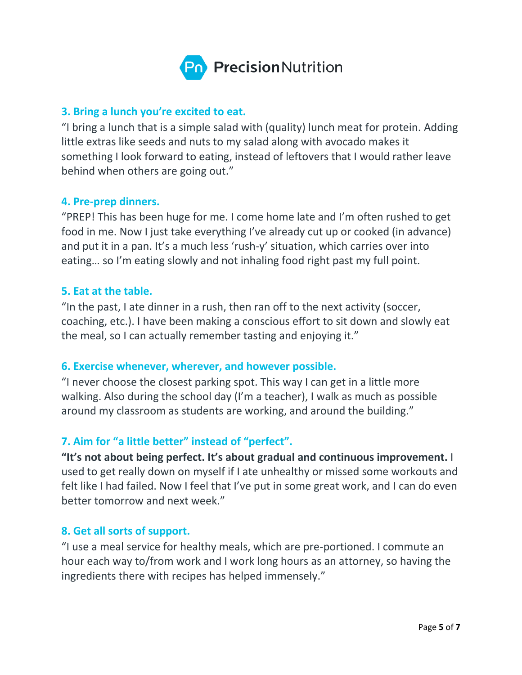

#### **3. Bring a lunch you're excited to eat.**

"I bring a lunch that is a simple salad with (quality) lunch meat for protein. Adding little extras like seeds and nuts to my salad along with avocado makes it something I look forward to eating, instead of leftovers that I would rather leave behind when others are going out."

#### **4. Pre-prep dinners.**

"PREP! This has been huge for me. I come home late and I'm often rushed to get food in me. Now I just take everything I've already cut up or cooked (in advance) and put it in a pan. It's a much less 'rush-y' situation, which carries over into eating… so I'm eating slowly and not inhaling food right past my full point.

#### **5. Eat at the table.**

"In the past, I ate dinner in a rush, then ran off to the next activity (soccer, coaching, etc.). I have been making a conscious effort to sit down and slowly eat the meal, so I can actually remember tasting and enjoying it."

#### **6. Exercise whenever, wherever, and however possible.**

"I never choose the closest parking spot. This way I can get in a little more walking. Also during the school day (I'm a teacher), I walk as much as possible around my classroom as students are working, and around the building."

## **7. Aim for "a little better" instead of "perfect".**

**"It's not about being perfect. It's about gradual and continuous improvement.** I used to get really down on myself if I ate unhealthy or missed some workouts and felt like I had failed. Now I feel that I've put in some great work, and I can do even better tomorrow and next week."

#### **8. Get all sorts of support.**

"I use a meal service for healthy meals, which are pre-portioned. I commute an hour each way to/from work and I work long hours as an attorney, so having the ingredients there with recipes has helped immensely."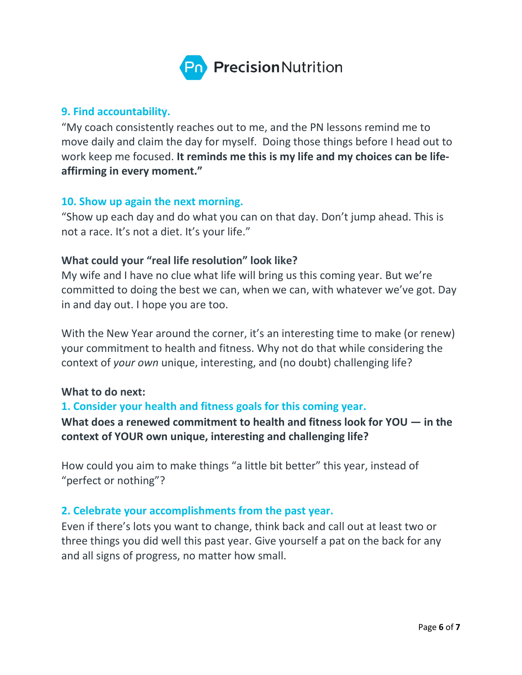

#### **9. Find accountability.**

"My coach consistently reaches out to me, and the PN lessons remind me to move daily and claim the day for myself. Doing those things before I head out to work keep me focused. **It reminds me this is my life and my choices can be lifeaffirming in every moment."**

#### **10. Show up again the next morning.**

"Show up each day and do what you can on that day. Don't jump ahead. This is not a race. It's not a diet. It's your life."

#### **What could your "real life resolution" look like?**

My wife and I have no clue what life will bring us this coming year. But we're committed to doing the best we can, when we can, with whatever we've got. Day in and day out. I hope you are too.

With the New Year around the corner, it's an interesting time to make (or renew) your commitment to health and fitness. Why not do that while considering the context of *your own* unique, interesting, and (no doubt) challenging life?

#### **What to do next:**

#### **1. Consider your health and fitness goals for this coming year.**

# **What does a renewed commitment to health and fitness look for YOU — in the context of YOUR own unique, interesting and challenging life?**

How could you aim to make things "a little bit better" this year, instead of "perfect or nothing"?

#### **2. Celebrate your accomplishments from the past year.**

Even if there's lots you want to change, think back and call out at least two or three things you did well this past year. Give yourself a pat on the back for any and all signs of progress, no matter how small.